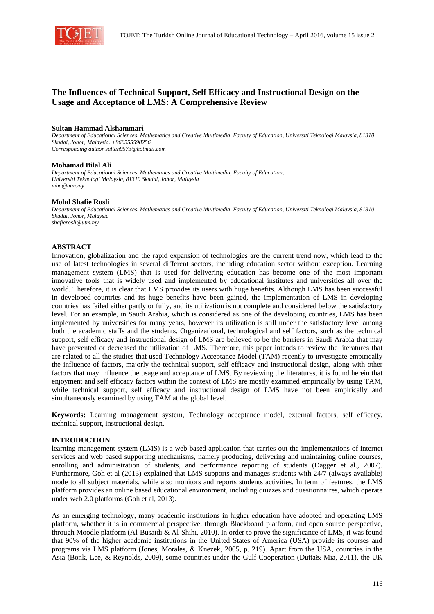

# **The Influences of Technical Support, Self Efficacy and Instructional Design on the Usage and Acceptance of LMS: A Comprehensive Review**

#### **Sultan Hammad Alshammari**

*Department of Educational Sciences, Mathematics and Creative Multimedia, Faculty of Education, Universiti Teknologi Malaysia, 81310, Skudai, Johor, Malaysia. +966555598256 Corresponding author sultan9573@hotmail.com* 

#### **Mohamad Bilal Ali**

*Department of Educational Sciences, Mathematics and Creative Multimedia, Faculty of Education, Universiti Teknologi Malaysia, 81310 Skudai, Johor, Malaysia mba@utm.my* 

#### **Mohd Shafie Rosli**

*Department of Educational Sciences, Mathematics and Creative Multimedia, Faculty of Education, Universiti Teknologi Malaysia, 81310 Skudai, Johor, Malaysia shafierosli@utm.my*

#### **ABSTRACT**

Innovation, globalization and the rapid expansion of technologies are the current trend now, which lead to the use of latest technologies in several different sectors, including education sector without exception. Learning management system (LMS) that is used for delivering education has become one of the most important innovative tools that is widely used and implemented by educational institutes and universities all over the world. Therefore, it is clear that LMS provides its users with huge benefits. Although LMS has been successful in developed countries and its huge benefits have been gained, the implementation of LMS in developing countries has failed either partly or fully, and its utilization is not complete and considered below the satisfactory level. For an example, in Saudi Arabia, which is considered as one of the developing countries, LMS has been implemented by universities for many years, however its utilization is still under the satisfactory level among both the academic staffs and the students. Organizational, technological and self factors, such as the technical support, self efficacy and instructional design of LMS are believed to be the barriers in Saudi Arabia that may have prevented or decreased the utilization of LMS. Therefore, this paper intends to review the literatures that are related to all the studies that used Technology Acceptance Model (TAM) recently to investigate empirically the influence of factors, majorly the technical support, self efficacy and instructional design, along with other factors that may influence the usage and acceptance of LMS. By reviewing the literatures, it is found herein that enjoyment and self efficacy factors within the context of LMS are mostly examined empirically by using TAM, while technical support, self efficacy and instructional design of LMS have not been empirically and simultaneously examined by using TAM at the global level.

**Keywords:** Learning management system, Technology acceptance model, external factors, self efficacy, technical support, instructional design.

#### **INTRODUCTION**

learning management system (LMS) is a web-based application that carries out the implementations of internet services and web based supporting mechanisms, namely producing, delivering and maintaining online courses, enrolling and administration of students, and performance reporting of students (Dagger et al., 2007). Furthermore, Goh et al (2013) explained that LMS supports and manages students with 24/7 (always available) mode to all subject materials, while also monitors and reports students activities. In term of features, the LMS platform provides an online based educational environment, including quizzes and questionnaires, which operate under web 2.0 platforms (Goh et al, 2013).

As an emerging technology, many academic institutions in higher education have adopted and operating LMS platform, whether it is in commercial perspective, through Blackboard platform, and open source perspective, through Moodle platform (Al-Busaidi & Al-Shihi, 2010). In order to prove the significance of LMS, it was found that 90% of the higher academic institutions in the United States of America (USA) provide its courses and programs via LMS platform (Jones, Morales, & Knezek, 2005, p. 219). Apart from the USA, countries in the Asia (Bonk, Lee, & Reynolds, 2009), some countries under the Gulf Cooperation (Dutta& Mia, 2011), the UK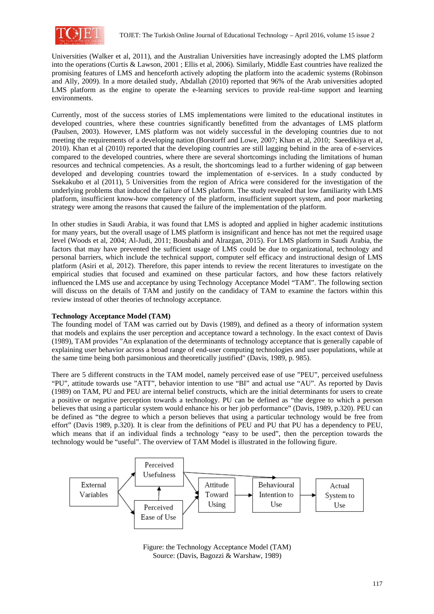

Universities (Walker et al, 2011), and the Australian Universities have increasingly adopted the LMS platform into the operations (Curtis & Lawson, 2001 ; Ellis et al, 2006). Similarly, Middle East countries have realized the promising features of LMS and henceforth actively adopting the platform into the academic systems (Robinson and Ally, 2009). In a more detailed study, Abdallah (2010) reported that 96% of the Arab universities adopted LMS platform as the engine to operate the e-learning services to provide real-time support and learning environments.

Currently, most of the success stories of LMS implementations were limited to the educational institutes in developed countries, where these countries significantly benefitted from the advantages of LMS platform (Paulsen, 2003). However, LMS platform was not widely successful in the developing countries due to not meeting the requirements of a developing nation (Borstorff and Lowe, 2007; Khan et al, 2010; Saeedikiya et al, 2010). Khan et al (2010) reported that the developing countries are still lagging behind in the area of e-services compared to the developed countries, where there are several shortcomings including the limitations of human resources and technical competencies. As a result, the shortcomings lead to a further widening of gap between developed and developing countries toward the implementation of e-services. In a study conducted by Ssekakubo et al (2011), 5 Universities from the region of Africa were considered for the investigation of the underlying problems that induced the failure of LMS platform. The study revealed that low familiarity with LMS platform, insufficient know-how competency of the platform, insufficient support system, and poor marketing strategy were among the reasons that caused the failure of the implementation of the platform.

In other studies in Saudi Arabia, it was found that LMS is adopted and applied in higher academic institutions for many years, but the overall usage of LMS platform is insignificant and hence has not met the required usage level (Woods et al, 2004; Al-Judi, 2011; Bousbahi and Alrazgan, 2015). For LMS platform in Saudi Arabia, the factors that may have prevented the sufficient usage of LMS could be due to organizational, technology and personal barriers, which include the technical support, computer self efficacy and instructional design of LMS platform (Asiri et al, 2012). Therefore, this paper intends to review the recent literatures to investigate on the empirical studies that focused and examined on these particular factors, and how these factors relatively influenced the LMS use and acceptance by using Technology Acceptance Model "TAM". The following section will discuss on the details of TAM and justify on the candidacy of TAM to examine the factors within this review instead of other theories of technology acceptance.

## **Technology Acceptance Model (TAM)**

The founding model of TAM was carried out by Davis (1989), and defined as a theory of information system that models and explains the user perception and acceptance toward a technology. In the exact context of Davis (1989), TAM provides "An explanation of the determinants of technology acceptance that is generally capable of explaining user behavior across a broad range of end-user computing technologies and user populations, while at the same time being both parsimonious and theoretically justified" (Davis, 1989, p. 985).

There are 5 different constructs in the TAM model, namely perceived ease of use "PEU", perceived usefulness "PU", attitude towards use "ATT", behavior intention to use "BI" and actual use "AU". As reported by Davis (1989) on TAM, PU and PEU are internal belief constructs, which are the initial determinants for users to create a positive or negative perception towards a technology. PU can be defined as "the degree to which a person believes that using a particular system would enhance his or her job performance" (Davis, 1989, p.320). PEU can be defined as "the degree to which a person believes that using a particular technology would be free from effort" (Davis 1989, p.320). It is clear from the definitions of PEU and PU that PU has a dependency to PEU, which means that if an individual finds a technology "easy to be used", then the perception towards the technology would be "useful". The overview of TAM Model is illustrated in the following figure.



Figure: the Technology Acceptance Model (TAM) Source: (Davis, Bagozzi & Warshaw, 1989)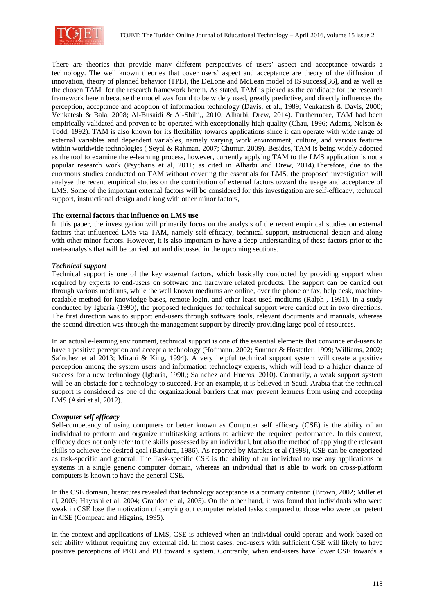

There are theories that provide many different perspectives of users' aspect and acceptance towards a technology. The well known theories that cover users' aspect and acceptance are theory of the diffusion of innovation, theory of planned behavior (TPB), the DeLone and McLean model of IS success[36], and as well as the chosen TAM for the research framework herein. As stated, TAM is picked as the candidate for the research framework herein because the model was found to be widely used, greatly predictive, and directly influences the perception, acceptance and adoption of information technology (Davis, et al., 1989; Venkatesh & Davis, 2000; Venkatesh & Bala, 2008; Al-Busaidi & Al-Shihi,, 2010; Alharbi, Drew, 2014). Furthermore, TAM had been empirically validated and proven to be operated with exceptionally high quality (Chau, 1996; Adams, Nelson & Todd, 1992). TAM is also known for its flexibility towards applications since it can operate with wide range of external variables and dependent variables, namely varying work environment, culture, and various features within worldwide technologies ( Seyal & Rahman, 2007; Chuttur, 2009). Besides, TAM is being widely adopted as the tool to examine the e-learning process, however, currently applying TAM to the LMS application is not a popular research work (Psycharis et al, 2011; as cited in Alharbi and Drew, 2014).Therefore, due to the enormous studies conducted on TAM without covering the essentials for LMS, the proposed investigation will analyse the recent empirical studies on the contribution of external factors toward the usage and acceptance of LMS. Some of the important external factors will be considered for this investigation are self-efficacy, technical support, instructional design and along with other minor factors,

### **The external factors that influence on LMS use**

In this paper, the investigation will primarily focus on the analysis of the recent empirical studies on external factors that influenced LMS via TAM, namely self-efficacy, technical support, instructional design and along with other minor factors. However, it is also important to have a deep understanding of these factors prior to the meta-analysis that will be carried out and discussed in the upcoming sections.

### *Technical support*

Technical support is one of the key external factors, which basically conducted by providing support when required by experts to end-users on software and hardware related products. The support can be carried out through various mediums, while the well known mediums are online, over the phone or fax, help desk, machinereadable method for knowledge bases, remote login, and other least used mediums (Ralph , 1991). In a study conducted by Igbaria (1990), the proposed techniques for technical support were carried out in two directions. The first direction was to support end-users through software tools, relevant documents and manuals, whereas the second direction was through the management support by directly providing large pool of resources.

In an actual e-learning environment, technical support is one of the essential elements that convince end-users to have a positive perception and accept a technology (Hofmann, 2002; Sumner & Hostetler, 1999; Williams, 2002; Sa´nchez et al 2013; Mirani & King, 1994). A very helpful technical support system will create a positive perception among the system users and information technology experts, which will lead to a higher chance of success for a new technology (Igbaria, 1990,; Sa'nchez and Hueros, 2010). Contrarily, a weak support system will be an obstacle for a technology to succeed. For an example, it is believed in Saudi Arabia that the technical support is considered as one of the organizational barriers that may prevent learners from using and accepting LMS (Asiri et al, 2012).

### *Computer self efficacy*

Self-competency of using computers or better known as Computer self efficacy (CSE) is the ability of an individual to perform and organize multitasking actions to achieve the required performance. In this context, efficacy does not only refer to the skills possessed by an individual, but also the method of applying the relevant skills to achieve the desired goal (Bandura, 1986). As reported by Marakas et al (1998), CSE can be categorized as task-specific and general. The Task-specific CSE is the ability of an individual to use any applications or systems in a single generic computer domain, whereas an individual that is able to work on cross-platform computers is known to have the general CSE.

In the CSE domain, literatures revealed that technology acceptance is a primary criterion (Brown, 2002; Miller et al, 2003; Hayashi et al, 2004; Grandon et al, 2005). On the other hand, it was found that individuals who were weak in CSE lose the motivation of carrying out computer related tasks compared to those who were competent in CSE (Compeau and Higgins, 1995).

In the context and applications of LMS, CSE is achieved when an individual could operate and work based on self ability without requiring any external aid. In most cases, end-users with sufficient CSE will likely to have positive perceptions of PEU and PU toward a system. Contrarily, when end-users have lower CSE towards a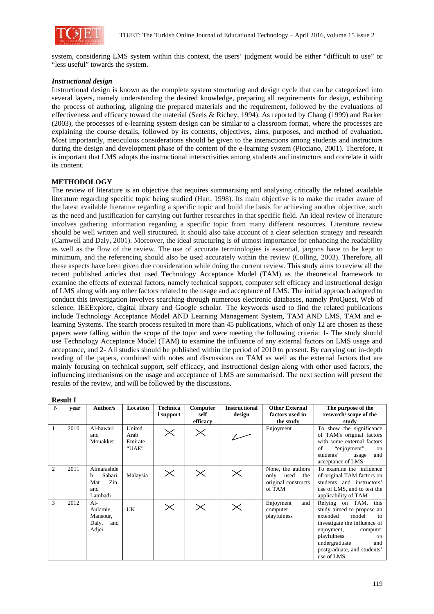

system, considering LMS system within this context, the users' judgment would be either "difficult to use" or "less useful" towards the system.

### *Instructional design*

Instructional design is known as the complete system structuring and design cycle that can be categorized into several layers, namely understanding the desired knowledge, preparing all requirements for design, exhibiting the process of authoring, aligning the prepared materials and the requirement, followed by the evaluations of effectiveness and efficacy toward the material (Seels & Richey, 1994). As reported by Chang (1999) and Barker (2003), the processes of e-learning system design can be similar to a classroom format, where the processes are explaining the course details, followed by its contents, objectives, aims, purposes, and method of evaluation. Most importantly, meticulous considerations should be given to the interactions among students and instructors during the design and development phase of the content of the e-learning system (Picciano, 2001). Therefore, it is important that LMS adopts the instructional interactivities among students and instructors and correlate it with its content.

### **METHODOLOGY**

The review of literature is an objective that requires summarising and analysing critically the related available literature regarding specific topic being studied (Hart, 1998). Its main objective is to make the reader aware of the latest available literature regarding a specific topic and build the basis for achieving another objective, such as the need and justification for carrying out further researches in that specific field. An ideal review of literature involves gathering information regarding a specific topic from many different resources. Literature review should be well written and well structured. It should also take account of a clear selection strategy and research (Carnwell and Daly, 2001). Moreover, the ideal structuring is of utmost importance for enhancing the readability as well as the flow of the review. The use of accurate terminologies is essential, jargons have to be kept to minimum, and the referencing should also be used accurately within the review (Colling, 2003). Therefore, all these aspects have been given due consideration while doing the current review. This study aims to review all the recent published articles that used Technology Acceptance Model (TAM) as the theoretical framework to examine the effects of external factors, namely technical support, computer self efficacy and instructional design of LMS along with any other factors related to the usage and acceptance of LMS. The initial approach adopted to conduct this investigation involves searching through numerous electronic databases, namely ProQuest, Web of science, IEEExplore, digital library and Google scholar. The keywords used to find the related publications include Technology Acceptance Model AND Learning Management System, TAM AND LMS, TAM and elearning Systems. The search process resulted in more than 45 publications, which of only 12 are chosen as these papers were falling within the scope of the topic and were meeting the following criteria: 1- The study should use Technology Acceptance Model (TAM) to examine the influence of any external factors on LMS usage and acceptance, and 2- All studies should be published within the period of 2010 to present. By carrying out in-depth reading of the papers, combined with notes and discussions on TAM as well as the external factors that are mainly focusing on technical support, self efficacy, and instructional design along with other used factors, the influencing mechanisms on the usage and acceptance of LMS are summarised. The next section will present the results of the review, and will be followed by the discussions.

| Result |  |
|--------|--|
|        |  |

|                | 116301L |                                                              |                                    |                              |                              |                                |                                                                           |                                                                                                                                                                                                                                   |
|----------------|---------|--------------------------------------------------------------|------------------------------------|------------------------------|------------------------------|--------------------------------|---------------------------------------------------------------------------|-----------------------------------------------------------------------------------------------------------------------------------------------------------------------------------------------------------------------------------|
| N              | vear    | Author/s                                                     | <b>Location</b>                    | <b>Technica</b><br>l support | Computer<br>self<br>efficacy | <b>Instructional</b><br>design | <b>Other External</b><br>factors used in<br>the study                     | The purpose of the<br>research/scope of the<br>study                                                                                                                                                                              |
| 1              | 2010    | Al-hawari<br>and<br>Mouakket                                 | United<br>Arab<br>Emirate<br>"UAE" | $\times$                     | $\times$                     |                                | Enjoyment                                                                 | To show the significance<br>of TAM's original factors<br>with some external factors<br>"enjoyment"<br>οf<br>on<br>students'<br>and<br>usage<br>acceptance of LMS                                                                  |
| $\overline{c}$ | 2011    | Almarashde<br>Sahari,<br>h.<br>Zin,<br>Mat<br>and<br>Lambadi | Malaysia                           | $\times$                     | $\times$                     | $\times$                       | None, the authors<br>only<br>used<br>the<br>original constructs<br>of TAM | To examine the influence<br>of original TAM factors on<br>students and instructors'<br>use of LMS, and to test the<br>applicability of TAM                                                                                        |
| 3              | 2012    | $Al-$<br>Aulamie,<br>Mansour,<br>Daly,<br>and<br>Adjei       | <b>UK</b>                          | $\times$                     | $\times$                     | $\times$                       | Enjoyment<br>and<br>computer<br>playfulness                               | Relying on TAM, this<br>study aimed to propose an<br>extended<br>model<br>to<br>investigate the influence of<br>enjoyment,<br>computer<br>playfulness<br>on<br>undergraduate<br>and<br>postgraduate, and students'<br>use of LMS. |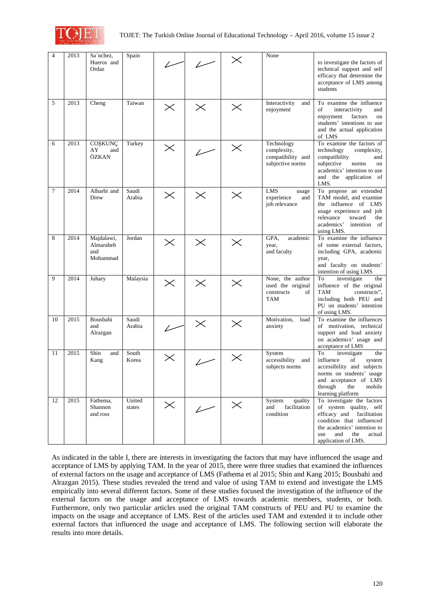

| 4              | 2013 | Sa'nchez,<br>Hueros and<br>Ordaz           | Spain            |          |                          | $\times$ | None                                                               | to investigate the factors of<br>technical support and self<br>efficacy that determine the<br>acceptance of LMS among<br>students                                                                    |
|----------------|------|--------------------------------------------|------------------|----------|--------------------------|----------|--------------------------------------------------------------------|------------------------------------------------------------------------------------------------------------------------------------------------------------------------------------------------------|
| 5              | 2013 | Cheng                                      | Taiwan           | $\times$ | $\times$                 | $\times$ | Interactivity<br>and<br>enjoyment                                  | To examine the influence<br>interactivity<br>οf<br>and<br>enjoyment<br>factors<br>on<br>students' intentions to use<br>and the actual application<br>of LMS                                          |
| 6              | 2013 | COȘKUNÇ<br>AY<br>and<br>ÖZKAN              | Turkey           | $\times$ |                          | $\times$ | Technology<br>complexity,<br>compatibility and<br>subjective norms | To examine the factors of<br>technology<br>complexity,<br>compatibility<br>and<br>subjective<br>norms<br>on<br>academics' intention to use<br>and the application of<br>LMS.                         |
| $\overline{7}$ | 2014 | Alharbi and<br>Drew                        | Saudi<br>Arabia  | $\times$ | $\times$                 | $\times$ | <b>LMS</b><br>usage<br>experience<br>and<br>job relevance          | To propose an extended<br>TAM model, and examine<br>the influence of LMS<br>usage experience and job<br>relevance<br>toward<br>the<br>academics'<br>intention of<br>using LMS.                       |
| 8              | 2014 | Majdalawi,<br>Almarabeh<br>and<br>Mohammad | Jordan           | $\times$ | $\times$                 | $\times$ | GPA.<br>academic<br>year,<br>and faculty                           | To examine the influence<br>of some external factors,<br>including GPA, academic<br>year,<br>and faculty on students'<br>intention of using LMS                                                      |
| 9              | 2014 | Juhary                                     | Malaysia         | $\times$ | $\times$                 | $\times$ | None, the author<br>used the original<br>constructs<br>of<br>TAM   | To<br>investigate<br>the<br>influence of the original<br><b>TAM</b><br>constructs",<br>including both PEU and<br>PU on students' intention<br>of using LMS.                                          |
| 10             | 2015 | Bousbahi<br>and<br>Alrazgan                | Saudi<br>Arabia  |          | $\times$                 | $\times$ | Motivation,<br>load<br>anxiety                                     | To examine the influences<br>of motivation, technical<br>support and load anxiety<br>on academics' usage and<br>acceptance of LMS                                                                    |
| 11             | 2015 | Shin<br>and<br>Kang                        | South<br>Korea   | $\times$ |                          | $\times$ | System<br>accessibility<br>and<br>subjects norms                   | To<br>investigate<br>the<br>influence<br>οf<br>system<br>accessibility and subjects<br>norms on students' usage<br>and acceptance of LMS<br>through<br>the<br>mobile<br>learning platform            |
| 12             | 2015 | Fathema,<br>Shannon<br>and ross            | United<br>states | $\times$ | $\overline{\phantom{a}}$ | $\times$ | System<br>quality<br>facilitation<br>and<br>condition              | To investigate the factors<br>of system quality, self<br>efficacy and facilitation<br>condition that influenced<br>the academics' intention to<br>and<br>the<br>actual<br>use<br>application of LMS. |

As indicated in the table I, there are interests in investigating the factors that may have influenced the usage and acceptance of LMS by applying TAM. In the year of 2015, there were three studies that examined the influences of external factors on the usage and acceptance of LMS (Fathema et al 2015; Shin and Kang 2015; Bousbahi and Alrazgan 2015). These studies revealed the trend and value of using TAM to extend and investigate the LMS empirically into several different factors. Some of these studies focused the investigation of the influence of the external factors on the usage and acceptance of LMS towards academic members, students, or both. Furthermore, only two particular articles used the original TAM constructs of PEU and PU to examine the impacts on the usage and acceptance of LMS. Rest of the articles used TAM and extended it to include other external factors that influenced the usage and acceptance of LMS. The following section will elaborate the results into more details.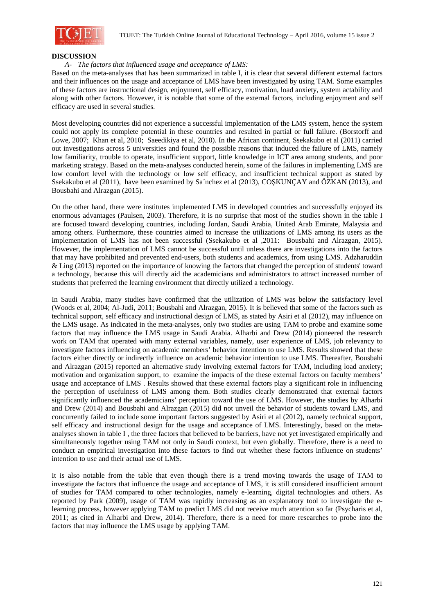

#### **DISCUSSION**

#### *A- The factors that influenced usage and acceptance of LMS:*

Based on the meta-analyses that has been summarized in table I, it is clear that several different external factors and their influences on the usage and acceptance of LMS have been investigated by using TAM. Some examples of these factors are instructional design, enjoyment, self efficacy, motivation, load anxiety, system actability and along with other factors. However, it is notable that some of the external factors, including enjoyment and self efficacy are used in several studies.

Most developing countries did not experience a successful implementation of the LMS system, hence the system could not apply its complete potential in these countries and resulted in partial or full failure. (Borstorff and Lowe, 2007; Khan et al, 2010; Saeedikiya et al, 2010). In the African continent, Ssekakubo et al (2011) carried out investigations across 5 universities and found the possible reasons that induced the failure of LMS, namely low familiarity, trouble to operate, insufficient support, little knowledge in ICT area among students, and poor marketing strategy. Based on the meta-analyses conducted herein, some of the failures in implementing LMS are low comfort level with the technology or low self efficacy, and insufficient technical support as stated by Ssekakubo et al (2011), have been examined by Sa'nchez et al (2013), COSKUNCAY and ÖZKAN (2013), and Bousbahi and Alrazgan (2015).

On the other hand, there were institutes implemented LMS in developed countries and successfully enjoyed its enormous advantages (Paulsen, 2003). Therefore, it is no surprise that most of the studies shown in the table I are focused toward developing countries, including Jordan, Saudi Arabia, United Arab Emirate, Malaysia and among others. Furthermore, these countries aimed to increase the utilizations of LMS among its users as the implementation of LMS has not been successful (Ssekakubo et al ,2011: Bousbahi and Alrazgan, 2015). However, the implementation of LMS cannot be successful until unless there are investigations into the factors that may have prohibited and prevented end-users, both students and academics, from using LMS. Adzharuddin & Ling (2013) reported on the importance of knowing the factors that changed the perception of students' toward a technology, because this will directly aid the academicians and administrators to attract increased number of students that preferred the learning environment that directly utilized a technology.

In Saudi Arabia, many studies have confirmed that the utilization of LMS was below the satisfactory level (Woods et al, 2004; Al-Judi, 2011; Bousbahi and Alrazgan, 2015). It is believed that some of the factors such as technical support, self efficacy and instructional design of LMS, as stated by Asiri et al (2012), may influence on the LMS usage. As indicated in the meta-analyses, only two studies are using TAM to probe and examine some factors that may influence the LMS usage in Saudi Arabia. Alharbi and Drew (2014) pioneered the research work on TAM that operated with many external variables, namely, user experience of LMS, job relevancy to investigate factors influencing on academic members' behavior intention to use LMS. Results showed that these factors either directly or indirectly influence on academic behavior intention to use LMS. Thereafter, Bousbahi and Alrazgan (2015) reported an alternative study involving external factors for TAM, including load anxiety; motivation and organization support, to examine the impacts of the these external factors on faculty members' usage and acceptance of LMS . Results showed that these external factors play a significant role in influencing the perception of usefulness of LMS among them. Both studies clearly demonstrated that external factors significantly influenced the academicians' perception toward the use of LMS. However, the studies by Alharbi and Drew (2014) and Bousbahi and Alrazgan (2015) did not unveil the behavior of students toward LMS, and concurrently failed to include some important factors suggested by Asiri et al (2012), namely technical support, self efficacy and instructional design for the usage and acceptance of LMS. Interestingly, based on the metaanalyses shown in table I , the three factors that believed to be barriers, have not yet investigated empirically and simultaneously together using TAM not only in Saudi context, but even globally. Therefore, there is a need to conduct an empirical investigation into these factors to find out whether these factors influence on students' intention to use and their actual use of LMS.

It is also notable from the table that even though there is a trend moving towards the usage of TAM to investigate the factors that influence the usage and acceptance of LMS, it is still considered insufficient amount of studies for TAM compared to other technologies, namely e-learning, digital technologies and others. As reported by Park (2009), usage of TAM was rapidly increasing as an explanatory tool to investigate the elearning process, however applying TAM to predict LMS did not receive much attention so far (Psycharis et al, 2011; as cited in Alharbi and Drew, 2014). Therefore, there is a need for more researches to probe into the factors that may influence the LMS usage by applying TAM.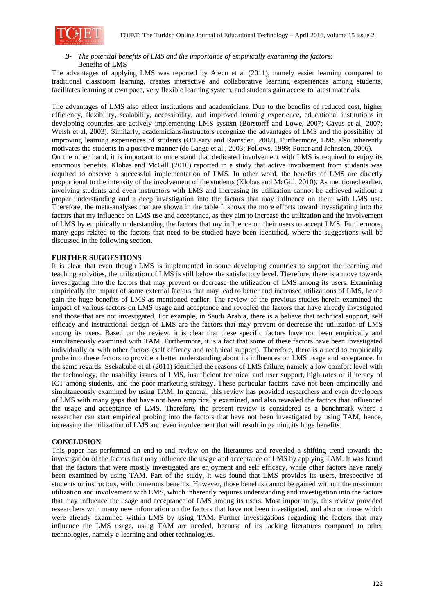

## *B- The potential benefits of LMS and the importance of empirically examining the factors:*  Benefits of LMS

The advantages of applying LMS was reported by Alecu et al (2011), namely easier learning compared to traditional classroom learning, creates interactive and collaborative learning experiences among students, facilitates learning at own pace, very flexible learning system, and students gain access to latest materials.

The advantages of LMS also affect institutions and academicians. Due to the benefits of reduced cost, higher efficiency, flexibility, scalability, accessibility, and improved learning experience, educational institutions in developing countries are actively implementing LMS system (Borstorff and Lowe, 2007; Cavus et al, 2007; Welsh et al, 2003). Similarly, academicians/instructors recognize the advantages of LMS and the possibility of improving learning experiences of students (O'Leary and Ramsden, 2002). Furthermore, LMS also inherently motivates the students in a positive manner (de Lange et al., 2003; Follows, 1999; Potter and Johnston, 2006). On the other hand, it is important to understand that dedicated involvement with LMS is required to enjoy its enormous benefits. Klobas and McGill (2010) reported in a study that active involvement from students was required to observe a successful implementation of LMS. In other word, the benefits of LMS are directly proportional to the intensity of the involvement of the students (Klobas and McGill, 2010). As mentioned earlier, involving students and even instructors with LMS and increasing its utilization cannot be achieved without a proper understanding and a deep investigation into the factors that may influence on them with LMS use. Therefore, the meta-analyses that are shown in the table I, shows the more efforts toward investigating into the factors that my influence on LMS use and acceptance, as they aim to increase the utilization and the involvement of LMS by empirically understanding the factors that my influence on their users to accept LMS. Furthermore, many gaps related to the factors that need to be studied have been identified, where the suggestions will be discussed in the following section.

### **FURTHER SUGGESTIONS**

It is clear that even though LMS is implemented in some developing countries to support the learning and teaching activities, the utilization of LMS is still below the satisfactory level. Therefore, there is a move towards investigating into the factors that may prevent or decrease the utilization of LMS among its users. Examining empirically the impact of some external factors that may lead to better and increased utilizations of LMS, hence gain the huge benefits of LMS as mentioned earlier. The review of the previous studies herein examined the impact of various factors on LMS usage and acceptance and revealed the factors that have already investigated and those that are not investigated. For example, in Saudi Arabia, there is a believe that technical support, self efficacy and instructional design of LMS are the factors that may prevent or decrease the utilization of LMS among its users. Based on the review, it is clear that these specific factors have not been empirically and simultaneously examined with TAM. Furthermore, it is a fact that some of these factors have been investigated individually or with other factors (self efficacy and technical support). Therefore, there is a need to empirically probe into these factors to provide a better understanding about its influences on LMS usage and acceptance. In the same regards, Ssekakubo et al (2011) identified the reasons of LMS failure, namely a low comfort level with the technology, the usability issues of LMS, insufficient technical and user support, high rates of illiteracy of ICT among students, and the poor marketing strategy. These particular factors have not been empirically and simultaneously examined by using TAM. In general, this review has provided researchers and even developers of LMS with many gaps that have not been empirically examined, and also revealed the factors that influenced the usage and acceptance of LMS. Therefore, the present review is considered as a benchmark where a researcher can start empirical probing into the factors that have not been investigated by using TAM, hence, increasing the utilization of LMS and even involvement that will result in gaining its huge benefits.

### **CONCLUSION**

This paper has performed an end-to-end review on the literatures and revealed a shifting trend towards the investigation of the factors that may influence the usage and acceptance of LMS by applying TAM. It was found that the factors that were mostly investigated are enjoyment and self efficacy, while other factors have rarely been examined by using TAM. Part of the study, it was found that LMS provides its users, irrespective of students or instructors, with numerous benefits. However, those benefits cannot be gained without the maximum utilization and involvement with LMS, which inherently requires understanding and investigation into the factors that may influence the usage and acceptance of LMS among its users. Most importantly, this review provided researchers with many new information on the factors that have not been investigated, and also on those which were already examined within LMS by using TAM. Further investigations regarding the factors that may influence the LMS usage, using TAM are needed, because of its lacking literatures compared to other technologies, namely e-learning and other technologies.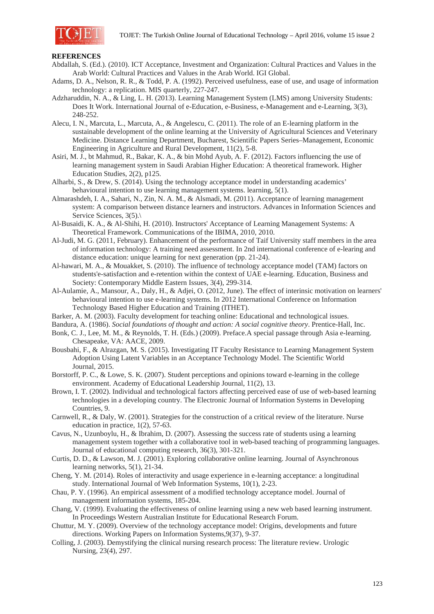

### **REFERENCES**

- Abdallah, S. (Ed.). (2010). ICT Acceptance, Investment and Organization: Cultural Practices and Values in the Arab World: Cultural Practices and Values in the Arab World. IGI Global.
- Adams, D. A., Nelson, R. R., & Todd, P. A. (1992). Perceived usefulness, ease of use, and usage of information technology: a replication. MIS quarterly, 227-247.
- Adzharuddin, N. A., & Ling, L. H. (2013). Learning Management System (LMS) among University Students: Does It Work. International Journal of e-Education, e-Business, e-Management and e-Learning, 3(3), 248-252.
- Alecu, I. N., Marcuta, L., Marcuta, A., & Angelescu, C. (2011). The role of an E-learning platform in the sustainable development of the online learning at the University of Agricultural Sciences and Veterinary Medicine. Distance Learning Department, Bucharest, Scientific Papers Series–Management, Economic Engineering in Agriculture and Rural Development, 11(2), 5-8.
- Asiri, M. J., bt Mahmud, R., Bakar, K. A., & bin Mohd Ayub, A. F. (2012). Factors influencing the use of learning management system in Saudi Arabian Higher Education: A theoretical framework. Higher Education Studies, 2(2), p125.
- Alharbi, S., & Drew, S. (2014). Using the technology acceptance model in understanding academics' behavioural intention to use learning management systems. learning, 5(1).
- Almarashdeh, I. A., Sahari, N., Zin, N. A. M., & Alsmadi, M. (2011). Acceptance of learning management system: A comparison between distance learners and instructors. Advances in Information Sciences and Service Sciences,  $3(5)$ .
- Al-Busaidi, K. A., & Al-Shihi, H. (2010). Instructors' Acceptance of Learning Management Systems: A Theoretical Framework. Communications of the IBIMA, 2010, 2010.
- Al-Judi, M. G. (2011, February). Enhancement of the performance of Taif University staff members in the area of information technology: A training need assessment. In 2nd international conference of e-learing and distance education: unique learning for next generation (pp. 21-24).
- Al-hawari, M. A., & Mouakket, S. (2010). The influence of technology acceptance model (TAM) factors on students'e-satisfaction and e-retention within the context of UAE e-learning. Education, Business and Society: Contemporary Middle Eastern Issues, 3(4), 299-314.
- Al-Aulamie, A., Mansour, A., Daly, H., & Adjei, O. (2012, June). The effect of interinsic motivation on learners' behavioural intention to use e-learning systems. In 2012 International Conference on Information Technology Based Higher Education and Training (ITHET).
- Barker, A. M. (2003). Faculty development for teaching online: Educational and technological issues.
- Bandura, A. (1986). *Social foundations of thought and action: A social cognitive theory*. Prentice-Hall, Inc.
- Bonk, C. J., Lee, M. M., & Reynolds, T. H. (Eds.) (2009). Preface.A special passage through Asia e-learning. Chesapeake, VA: AACE, 2009.
- Bousbahi, F., & Alrazgan, M. S. (2015). Investigating IT Faculty Resistance to Learning Management System Adoption Using Latent Variables in an Acceptance Technology Model. The Scientific World Journal, 2015.
- Borstorff, P. C., & Lowe, S. K. (2007). Student perceptions and opinions toward e-learning in the college environment. Academy of Educational Leadership Journal, 11(2), 13.
- Brown, I. T. (2002). Individual and technological factors affecting perceived ease of use of web-based learning technologies in a developing country. The Electronic Journal of Information Systems in Developing Countries, 9.
- Carnwell, R., & Daly, W. (2001). Strategies for the construction of a critical review of the literature. Nurse education in practice, 1(2), 57-63.
- Cavus, N., Uzunboylu, H., & Ibrahim, D. (2007). Assessing the success rate of students using a learning management system together with a collaborative tool in web-based teaching of programming languages. Journal of educational computing research, 36(3), 301-321.
- Curtis, D. D., & Lawson, M. J. (2001). Exploring collaborative online learning. Journal of Asynchronous learning networks, 5(1), 21-34.
- Cheng, Y. M. (2014). Roles of interactivity and usage experience in e-learning acceptance: a longitudinal study. International Journal of Web Information Systems, 10(1), 2-23.
- Chau, P. Y. (1996). An empirical assessment of a modified technology acceptance model. Journal of management information systems, 185-204.
- Chang, V. (1999). Evaluating the effectiveness of online learning using a new web based learning instrument. In Proceedings Western Australian Institute for Educational Research Forum.
- Chuttur, M. Y. (2009). Overview of the technology acceptance model: Origins, developments and future directions. Working Papers on Information Systems,9(37), 9-37.
- Colling, J. (2003). Demystifying the clinical nursing research process: The literature review. Urologic Nursing, 23(4), 297.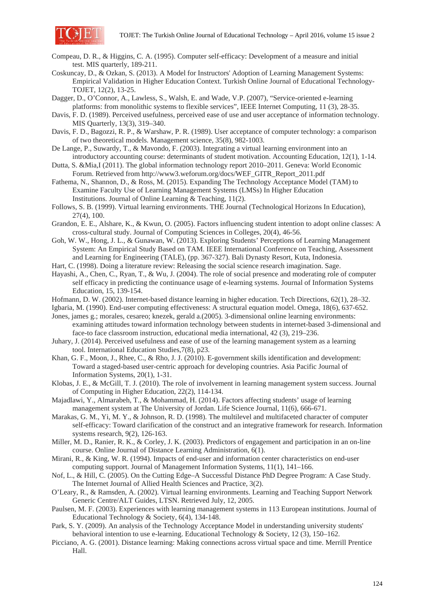

- Compeau, D. R., & Higgins, C. A. (1995). Computer self-efficacy: Development of a measure and initial test. MIS quarterly, 189-211.
- Coskuncay, D., & Ozkan, S. (2013). A Model for Instructors' Adoption of Learning Management Systems: Empirical Validation in Higher Education Context. Turkish Online Journal of Educational Technology-TOJET, 12(2), 13-25.
- Dagger, D., O'Connor, A., Lawless, S., Walsh, E. and Wade, V.P. (2007), "Service-oriented e-learning platforms: from monolithic systems to flexible services", IEEE Internet Computing, 11 (3), 28-35.
- Davis, F. D. (1989). Perceived usefulness, perceived ease of use and user acceptance of information technology. MIS Quarterly, 13(3), 319–340.
- Davis, F. D., Bagozzi, R. P., & Warshaw, P. R. (1989). User acceptance of computer technology: a comparison of two theoretical models. Management science, 35(8), 982-1003.
- De Lange, P., Suwardy, T., & Mavondo, F. (2003). Integrating a virtual learning environment into an introductory accounting course: determinants of student motivation. Accounting Education, 12(1), 1-14.
- Dutta, S. &Mia,I (2011). The global information technology report 2010–2011. Geneva: World Economic Forum. Retrieved from http://www3.weforum.org/docs/WEF\_GITR\_Report\_2011.pdf
- Fathema, N., Shannon, D., & Ross, M. (2015). Expanding The Technology Acceptance Model (TAM) to Examine Faculty Use of Learning Management Systems (LMSs) In Higher Education Institutions. Journal of Online Learning & Teaching, 11(2).
- Follows, S. B. (1999). Virtual learning environments. THE Journal (Technological Horizons In Education), 27(4), 100.
- Grandon, E. E., Alshare, K., & Kwun, O. (2005). Factors influencing student intention to adopt online classes: A cross-cultural study. Journal of Computing Sciences in Colleges, 20(4), 46-56.
- Goh, W. W., Hong, J. L., & Gunawan, W. (2013). Exploring Students' Perceptions of Learning Management System: An Empirical Study Based on TAM. IEEE International Conference on Teaching, Assessment and Learning for Engineering (TALE), (pp. 367-327). Bali Dynasty Resort, Kuta, Indonesia.
- Hart, C. (1998). Doing a literature review: Releasing the social science research imagination. Sage.

Hayashi, A., Chen, C., Ryan, T., & Wu, J. (2004). The role of social presence and moderating role of computer self efficacy in predicting the continuance usage of e-learning systems. Journal of Information Systems Education, 15, 139-154.

- Hofmann, D. W. (2002). Internet-based distance learning in higher education. Tech Directions, 62(1), 28–32.
- Igbaria, M. (1990). End-user computing effectiveness: A structural equation model. Omega, 18(6), 637-652.
- Jones, james g.; morales, cesareo; knezek, gerald a.(2005). 3-dimensional online learning environments: examining attitudes toward information technology between students in internet-based 3-dimensional and face-to face classroom instruction, educational media international, 42 (3), 219–236.
- Juhary, J. (2014). Perceived usefulness and ease of use of the learning management system as a learning tool. International Education Studies,7(8), p23.
- Khan, G. F., Moon, J., Rhee, C., & Rho, J. J. (2010). E-government skills identification and development: Toward a staged-based user-centric approach for developing countries. Asia Pacific Journal of Information Systems, 20(1), 1-31.
- Klobas, J. E., & McGill, T. J. (2010). The role of involvement in learning management system success. Journal of Computing in Higher Education, 22(2), 114-134.
- Majadlawi, Y., Almarabeh, T., & Mohammad, H. (2014). Factors affecting students' usage of learning management system at The University of Jordan. Life Science Journal, 11(6), 666-671.
- Marakas, G. M., Yi, M. Y., & Johnson, R. D. (1998). The multilevel and multifaceted character of computer self-efficacy: Toward clarification of the construct and an integrative framework for research. Information systems research, 9(2), 126-163.
- Miller, M. D., Ranier, R. K., & Corley, J. K. (2003). Predictors of engagement and participation in an on-line course. Online Journal of Distance Learning Administration, 6(1).
- Mirani, R., & King, W. R. (1994). Impacts of end-user and information center characteristics on end-user computing support. Journal of Management Information Systems, 11(1), 141–166.
- Nof, L., & Hill, C. (2005). On the Cutting Edge–A Successful Distance PhD Degree Program: A Case Study. The Internet Journal of Allied Health Sciences and Practice, 3(2).
- O'Leary, R., & Ramsden, A. (2002). Virtual learning environments. Learning and Teaching Support Network Generic Centre/ALT Guides, LTSN. Retrieved July, 12, 2005.
- Paulsen, M. F. (2003). Experiences with learning management systems in 113 European institutions. Journal of Educational Technology & Society, 6(4), 134-148.
- Park, S. Y. (2009). An analysis of the Technology Acceptance Model in understanding university students' behavioral intention to use e-learning. Educational Technology & Society, 12 (3), 150–162.
- Picciano, A. G. (2001). Distance learning: Making connections across virtual space and time. Merrill Prentice Hall.